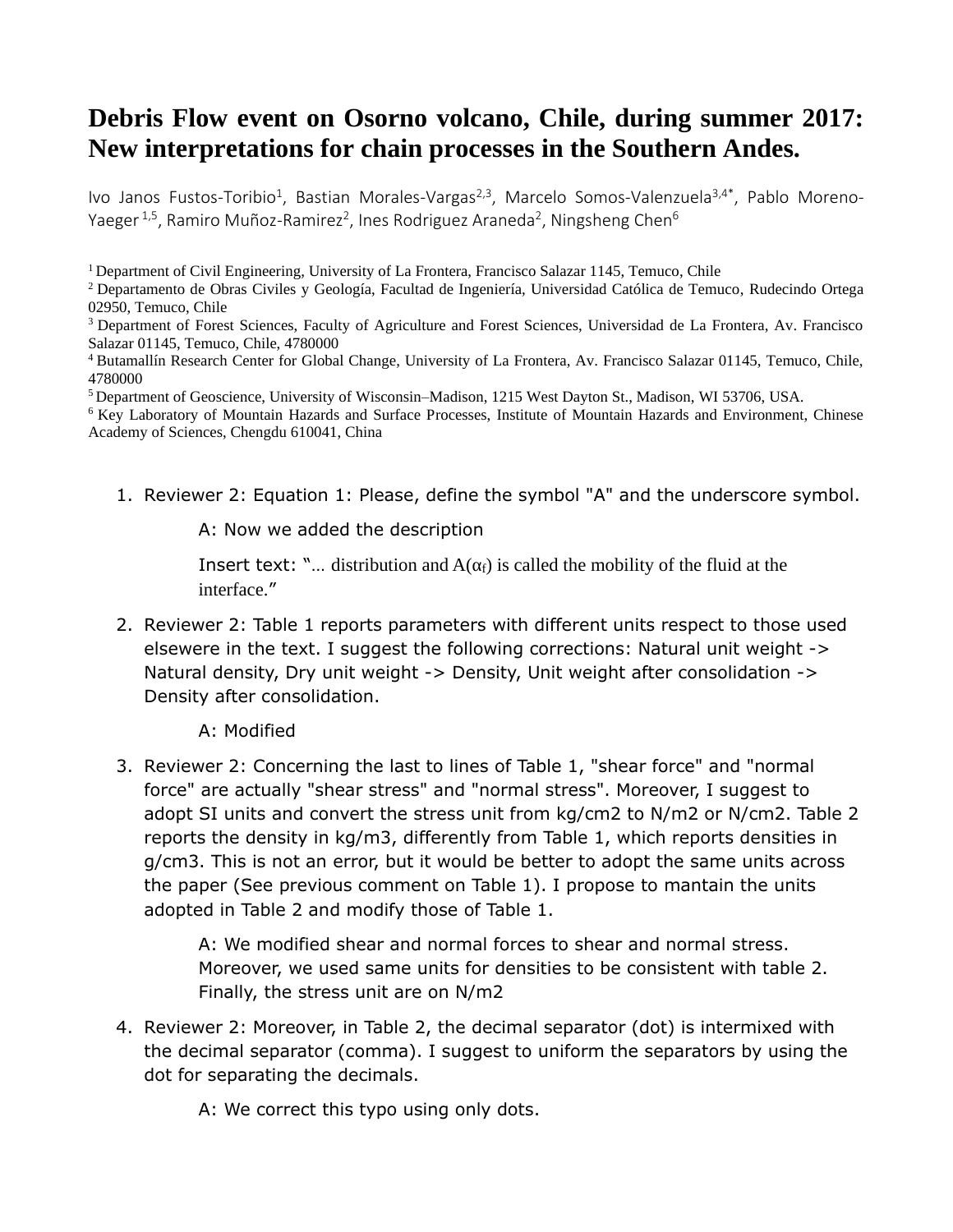## Debris Flow event on Osorno volcano, Chile, during summer 2017: New interpretations for chain processes in the Southern Andes.

Ivo Janos Fustos-Toribio<sup>1</sup>, Bastian Morales-Vargas<sup>2,3</sup>, Marcelo Somos-Valenzuela<sup>3,4\*</sup>, Pablo Moreno-Yaeger <sup>1,5</sup>, Ramiro Muñoz-Ramirez<sup>2</sup>, Ines Rodriguez Araneda<sup>2</sup>, Ningsheng Chen<sup>6</sup>

<sup>1</sup> Department of Civil Engineering, University of La Frontera, Francisco Salazar 1145, Temuco, Chile

<sup>2</sup>Departamento de Obras Civiles y Geología, Facultad de Ingeniería, Universidad Católica de Temuco, Rudecindo Ortega 02950, Temuco, Chile

<sup>3</sup> Department of Forest Sciences, Faculty of Agriculture and Forest Sciences, Universidad de La Frontera, Av. Francisco Salazar 01145, Temuco, Chile, 4780000

<sup>4</sup> Butamallín Research Center for Global Change, University of La Frontera, Av. Francisco Salazar 01145, Temuco, Chile, 4780000

<sup>5</sup>Department of Geoscience, University of Wisconsin–Madison, 1215 West Dayton St., Madison, WI 53706, USA.

 $6$  Key Laboratory of Mountain Hazards and Surface Processes, Institute of Mountain Hazards and Environment, Chinese Academy of Sciences, Chengdu 610041, China

1. Reviewer 2: Equation 1: Please, define the symbol "A" and the underscore symbol.

A: Now we added the description

Insert text: "... distribution and  $A(\alpha_f)$  is called the mobility of the fluid at the interface."

- 2. Reviewer 2: Table 1 reports parameters with different units respect to those used elsewere in the text. I suggest the following corrections: Natural unit weight -> Natural density, Dry unit weight -> Density, Unit weight after consolidation -> Density after consolidation.
	- A: Modified
- 3. Reviewer 2: Concerning the last to lines of Table 1, "shear force" and "normal force" are actually "shear stress" and "normal stress". Moreover, I suggest to adopt SI units and convert the stress unit from kg/cm2 to N/m2 or N/cm2. Table 2 reports the density in kg/m3, differently from Table 1, which reports densities in g/cm3. This is not an error, but it would be better to adopt the same units across the paper (See previous comment on Table 1). I propose to mantain the units adopted in Table 2 and modify those of Table 1.

A: We modified shear and normal forces to shear and normal stress. Moreover, we used same units for densities to be consistent with table 2. Finally, the stress unit are on N/m2

4. Reviewer 2: Moreover, in Table 2, the decimal separator (dot) is intermixed with the decimal separator (comma). I suggest to uniform the separators by using the dot for separating the decimals.

A: We correct this typo using only dots.